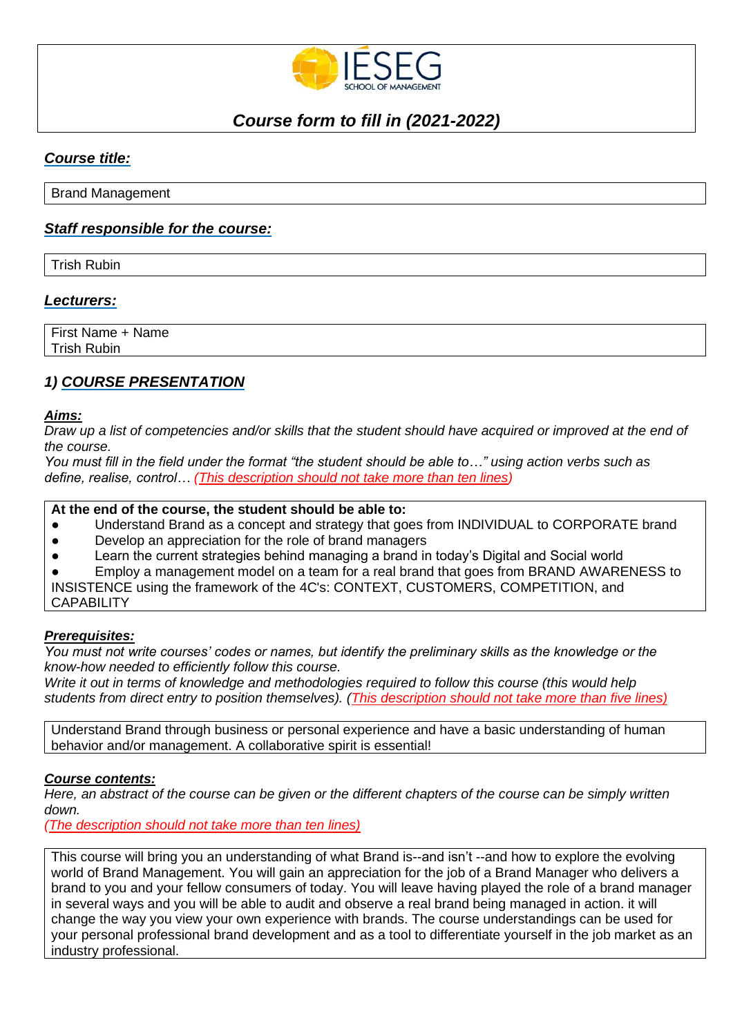

# *Course form to fill in (2021-2022)*

## *Course title:*

Brand Management

## *Staff responsible for the course:*

Trish Rubin

## *Lecturers:*

First Name + Name Trish Rubin

## *1) COURSE PRESENTATION*

#### *Aims:*

*Draw up a list of competencies and/or skills that the student should have acquired or improved at the end of the course.* 

*You must fill in the field under the format "the student should be able to…" using action verbs such as define, realise, control… (This description should not take more than ten lines)*

## **At the end of the course, the student should be able to:**

- Understand Brand as a concept and strategy that goes from INDIVIDUAL to CORPORATE brand
- Develop an appreciation for the role of brand managers
- Learn the current strategies behind managing a brand in today's Digital and Social world

Employ a management model on a team for a real brand that goes from BRAND AWARENESS to INSISTENCE using the framework of the 4C's: CONTEXT, CUSTOMERS, COMPETITION, and **CAPABILITY** 

## *Prerequisites:*

*You must not write courses' codes or names, but identify the preliminary skills as the knowledge or the know-how needed to efficiently follow this course.* 

*Write it out in terms of knowledge and methodologies required to follow this course (this would help students from direct entry to position themselves). (This description should not take more than five lines)*

Understand Brand through business or personal experience and have a basic understanding of human behavior and/or management. A collaborative spirit is essential!

## *Course contents:*

*Here, an abstract of the course can be given or the different chapters of the course can be simply written down.*

*(The description should not take more than ten lines)*

This course will bring you an understanding of what Brand is--and isn't --and how to explore the evolving world of Brand Management. You will gain an appreciation for the job of a Brand Manager who delivers a brand to you and your fellow consumers of today. You will leave having played the role of a brand manager in several ways and you will be able to audit and observe a real brand being managed in action. it will change the way you view your own experience with brands. The course understandings can be used for your personal professional brand development and as a tool to differentiate yourself in the job market as an industry professional.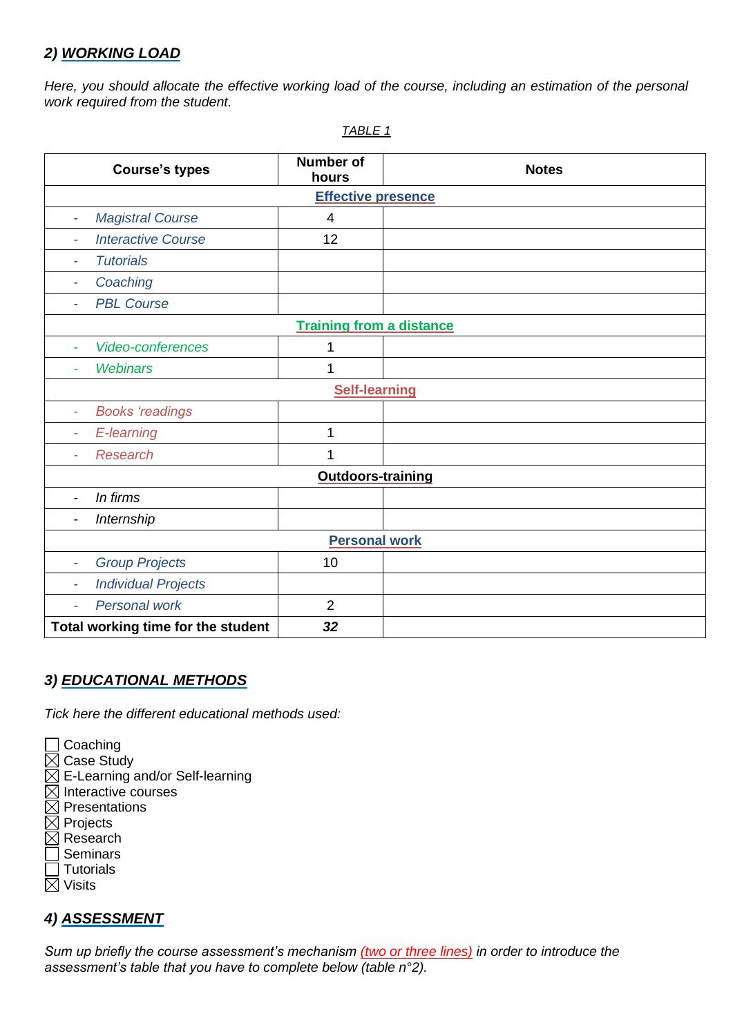## *2) WORKING LOAD*

*Here, you should allocate the effective working load of the course, including an estimation of the personal work required from the student.*

| <b>Course's types</b>                                  | <b>Number of</b><br>hours | <b>Notes</b> |  |  |
|--------------------------------------------------------|---------------------------|--------------|--|--|
| <b>Effective presence</b>                              |                           |              |  |  |
| <b>Magistral Course</b><br>$\overline{\phantom{a}}$    | 4                         |              |  |  |
| <b>Interactive Course</b><br>$\overline{\phantom{a}}$  | 12                        |              |  |  |
| <b>Tutorials</b>                                       |                           |              |  |  |
| Coaching<br>$\overline{\phantom{a}}$                   |                           |              |  |  |
| <b>PBL Course</b><br>$\overline{a}$                    |                           |              |  |  |
| <b>Training from a distance</b>                        |                           |              |  |  |
| <b>Video-conferences</b><br>$\overline{\phantom{a}}$   | 1                         |              |  |  |
| <b>Webinars</b><br>$\overline{\phantom{0}}$            | 1                         |              |  |  |
| <b>Self-learning</b>                                   |                           |              |  |  |
| <b>Books 'readings</b><br>$\overline{\phantom{a}}$     |                           |              |  |  |
| E-learning<br>$\overline{\phantom{a}}$                 | 1                         |              |  |  |
| <b>Research</b>                                        | 1                         |              |  |  |
| <b>Outdoors-training</b>                               |                           |              |  |  |
| In firms<br>$\overline{\phantom{a}}$                   |                           |              |  |  |
| Internship                                             |                           |              |  |  |
|                                                        | <b>Personal work</b>      |              |  |  |
| <b>Group Projects</b><br>$\overline{a}$                | 10                        |              |  |  |
| <b>Individual Projects</b><br>$\overline{\phantom{a}}$ |                           |              |  |  |
| Personal work<br>$\overline{\phantom{a}}$              | $\overline{2}$            |              |  |  |
| Total working time for the student                     | 32                        |              |  |  |

*TABLE 1*

## *3) EDUCATIONAL METHODS*

*Tick here the different educational methods used:*

**□ Coaching** 

- $\boxtimes$  Case Study
- $\overline{\boxtimes}$  E-Learning and/or Self-learning
- $\boxtimes$  Interactive courses
- $\boxtimes$  Presentations
- $\boxtimes$  Projects
- $\boxtimes$  Research
- $\sqsupset$  Seminars  $\overline{\top}$  Tutorials
- $\boxtimes$  Visits

## *4) ASSESSMENT*

*Sum up briefly the course assessment's mechanism (two or three lines) in order to introduce the assessment's table that you have to complete below (table n°2).*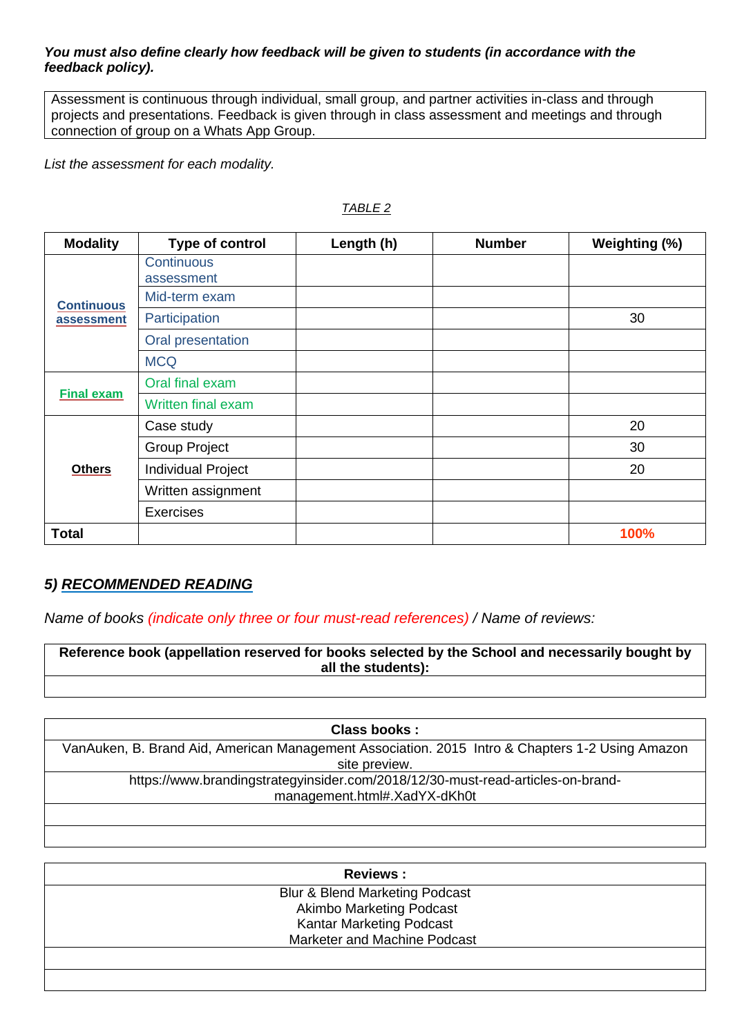## *You must also define clearly how feedback will be given to students (in accordance with the feedback policy).*

Assessment is continuous through individual, small group, and partner activities in-class and through projects and presentations. Feedback is given through in class assessment and meetings and through connection of group on a Whats App Group.

*List the assessment for each modality.*

| <b>Modality</b>                 | Type of control                 | Length (h) | <b>Number</b> | Weighting (%) |
|---------------------------------|---------------------------------|------------|---------------|---------------|
| <b>Continuous</b><br>assessment | <b>Continuous</b><br>assessment |            |               |               |
|                                 | Mid-term exam                   |            |               |               |
|                                 | Participation                   |            |               | 30            |
|                                 | Oral presentation               |            |               |               |
|                                 | <b>MCQ</b>                      |            |               |               |
| <b>Final exam</b>               | Oral final exam                 |            |               |               |
|                                 | <b>Written final exam</b>       |            |               |               |
| <b>Others</b>                   | Case study                      |            |               | 20            |
|                                 | <b>Group Project</b>            |            |               | 30            |
|                                 | Individual Project              |            |               | 20            |
|                                 | Written assignment              |            |               |               |
|                                 | <b>Exercises</b>                |            |               |               |
| <b>Total</b>                    |                                 |            |               | 100%          |

## *TABLE 2*

## *5) RECOMMENDED READING*

*Name of books (indicate only three or four must-read references) / Name of reviews:* 

**Reference book (appellation reserved for books selected by the School and necessarily bought by all the students):**

**Class books :**

VanAuken, B. Brand Aid, American Management Association. 2015 Intro & Chapters 1-2 Using Amazon site preview. https://www.brandingstrategyinsider.com/2018/12/30-must-read-articles-on-brandmanagement.html#.XadYX-dKh0t

| <b>Reviews:</b> |                                           |  |  |
|-----------------|-------------------------------------------|--|--|
|                 | <b>Blur &amp; Blend Marketing Podcast</b> |  |  |
|                 | <b>Akimbo Marketing Podcast</b>           |  |  |
|                 | <b>Kantar Marketing Podcast</b>           |  |  |
|                 | Marketer and Machine Podcast              |  |  |
|                 |                                           |  |  |
|                 |                                           |  |  |